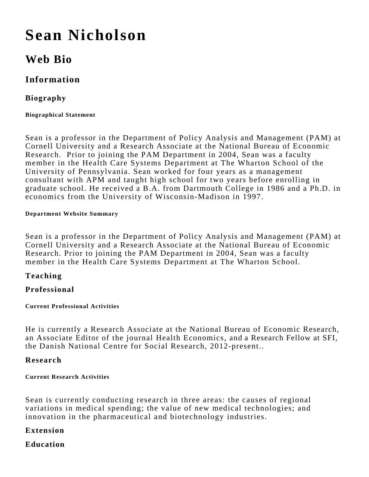# **Sean Nicholson**

# **Web Bio**

## **Information**

### **Biography**

#### **Biographical Statement**

Sean is a professor in the Department of Policy Analysis and Management (PAM) at Cornell University and a Research Associate at the National Bureau of Economic Research. Prior to joining the PAM Department in 2004, Sean was a faculty member in the Health Care Systems Department at The Wharton School of the University of Pennsylvania. Sean worked for four years as a management consultant with APM and taught high school for two years before enrolling in graduate school. He received a B.A. from Dartmouth College in 1986 and a Ph.D. in economics from the University of Wisconsin-Madison in 1997.

#### **Department Website Summary**

Sean is a professor in the Department of Policy Analysis and Management (PAM) at Cornell University and a Research Associate at the National Bureau of Economic Research. Prior to joining the PAM Department in 2004, Sean was a faculty member in the Health Care Systems Department at The Wharton School.

#### **Teaching**

#### **Professional**

#### **Current Professional Activities**

He is currently a Research Associate at the National Bureau of Economic Research, an Associate Editor of the journal Health Economics, and a Research Fellow at SFI, the Danish National Centre for Social Research, 2012-present..

#### **Research**

#### **Current Research Activities**

Sean is currently conducting research in three areas: the causes of regional variations in medical spending; the value of new medical technologies; and innovation in the pharmaceutical and biotechnology industries.

#### **Extension**

#### **Education**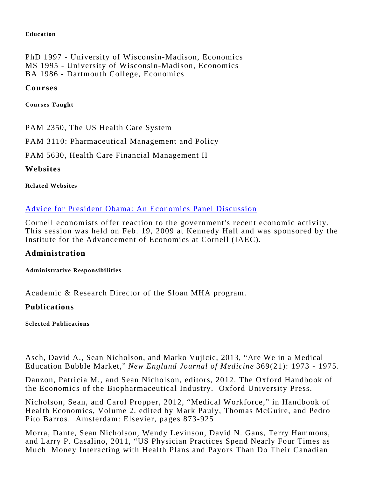#### **Education**

PhD 1997 - University of Wisconsin-Madison, Economics MS 1995 - University of Wisconsin-Madison, Economics BA 1986 - Dartmouth College, Economics

#### **Courses**

**Courses Taught**

PAM 2350, The US Health Care System

PAM 3110: Pharmaceutical Management and Policy

PAM 5630, Health Care Financial Management II

**Websites**

#### **Related Websites**

#### [Advice for President Obama: An Economics Panel Discussion](http://www.cornell.edu/video/details.cfm?vidID=410)

Cornell economists offer reaction to the government's recent economic activity. This session was held on Feb. 19, 2009 at Kennedy Hall and was sponsored by the Institute for the Advancement of Economics at Cornell (IAEC).

#### **Administration**

**Administrative Responsibilities**

Academic & Research Director of the Sloan MHA program.

#### **Publications**

**Selected Publications**

Asch, David A., Sean Nicholson, and Marko Vujicic, 2013, "Are We in a Medical Education Bubble Market," *New England Journal of Medicine* 369(21): 1973 - 1975.

Danzon, Patricia M., and Sean Nicholson, editors, 2012. The Oxford Handbook of the Economics of the Biopharmaceutical Industry. Oxford University Press.

Nicholson, Sean, and Carol Propper, 2012, "Medical Workforce," in Handbook of Health Economics, Volume 2, edited by Mark Pauly, Thomas McGuire, and Pedro Pito Barros. Amsterdam: Elsevier, pages 873-925.

Morra, Dante, Sean Nicholson, Wendy Levinson, David N. Gans, Terry Hammons, and Larry P. Casalino, 2011, "US Physician Practices Spend Nearly Four Times as Much Money Interacting with Health Plans and Payors Than Do Their Canadian